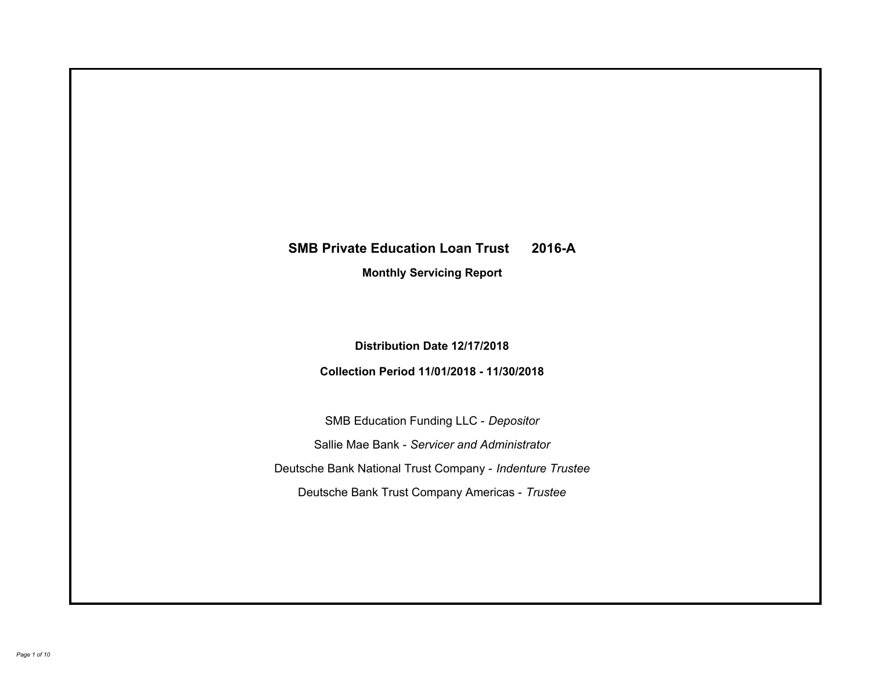# **SMB Private Education Loan Trust 2016-A Monthly Servicing Report**

**Distribution Date 12/17/2018**

**Collection Period 11/01/2018 - 11/30/2018**

SMB Education Funding LLC - *Depositor* Sallie Mae Bank - *Servicer and Administrator* Deutsche Bank National Trust Company - *Indenture Trustee* Deutsche Bank Trust Company Americas - *Trustee*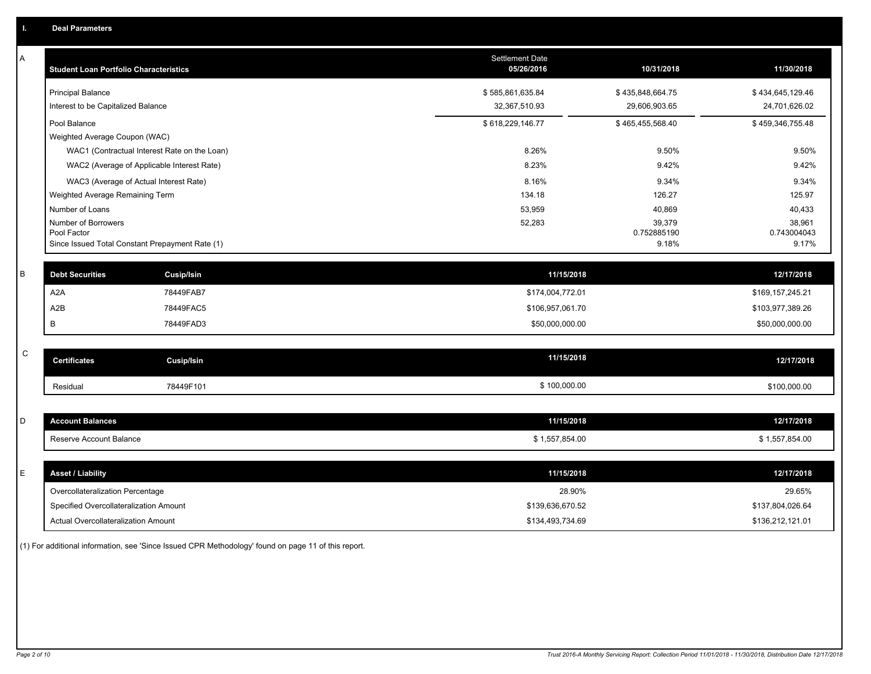| Α | <b>Student Loan Portfolio Characteristics</b>                  | <b>Settlement Date</b><br>05/26/2016 | 10/31/2018           | 11/30/2018           |
|---|----------------------------------------------------------------|--------------------------------------|----------------------|----------------------|
|   | <b>Principal Balance</b>                                       | \$585,861,635.84                     | \$435,848,664.75     | \$434,645,129.46     |
|   | Interest to be Capitalized Balance                             | 32,367,510.93                        | 29,606,903.65        | 24,701,626.02        |
|   | Pool Balance                                                   | \$618,229,146.77                     | \$465,455,568.40     | \$459,346,755.48     |
|   | Weighted Average Coupon (WAC)                                  |                                      |                      |                      |
|   | WAC1 (Contractual Interest Rate on the Loan)                   | 8.26%                                | 9.50%                | 9.50%                |
|   | WAC2 (Average of Applicable Interest Rate)                     | 8.23%                                | 9.42%                | 9.42%                |
|   | WAC3 (Average of Actual Interest Rate)                         | 8.16%                                | 9.34%                | 9.34%                |
|   | Weighted Average Remaining Term                                | 134.18                               | 126.27               | 125.97               |
|   | Number of Loans                                                | 53,959                               | 40,869               | 40,433               |
|   | Number of Borrowers                                            | 52,283                               | 39,379               | 38,961               |
|   | Pool Factor<br>Since Issued Total Constant Prepayment Rate (1) |                                      | 0.752885190<br>9.18% | 0.743004043<br>9.17% |
|   |                                                                |                                      |                      |                      |
| B | <b>Debt Securities</b><br><b>Cusip/Isin</b>                    | 11/15/2018                           |                      | 12/17/2018           |
|   | A <sub>2</sub> A<br>78449FAB7                                  | \$174,004,772.01                     |                      | \$169,157,245.21     |
|   | A <sub>2</sub> B<br>78449FAC5                                  | \$106,957,061.70                     |                      | \$103,977,389.26     |
|   | B<br>78449FAD3                                                 | \$50,000,000.00                      |                      | \$50,000,000.00      |
|   |                                                                |                                      |                      |                      |
| C | <b>Certificates</b><br><b>Cusip/Isin</b>                       | 11/15/2018                           |                      | 12/17/2018           |
|   | 78449F101<br>Residual                                          | \$100,000.00                         |                      | \$100,000.00         |
|   |                                                                |                                      |                      |                      |
| D | <b>Account Balances</b>                                        | 11/15/2018                           |                      | 12/17/2018           |
|   | Reserve Account Balance                                        | \$1,557,854.00                       |                      | \$1,557,854.00       |
|   |                                                                |                                      |                      |                      |
| Е | <b>Asset / Liability</b>                                       | 11/15/2018                           |                      | 12/17/2018           |
|   | Overcollateralization Percentage                               | 28.90%                               |                      | 29.65%               |
|   | Specified Overcollateralization Amount                         | \$139,636,670.52                     |                      | \$137,804,026.64     |
|   | Actual Overcollateralization Amount                            | \$134,493,734.69                     |                      | \$136,212,121.01     |

(1) For additional information, see 'Since Issued CPR Methodology' found on page 11 of this report.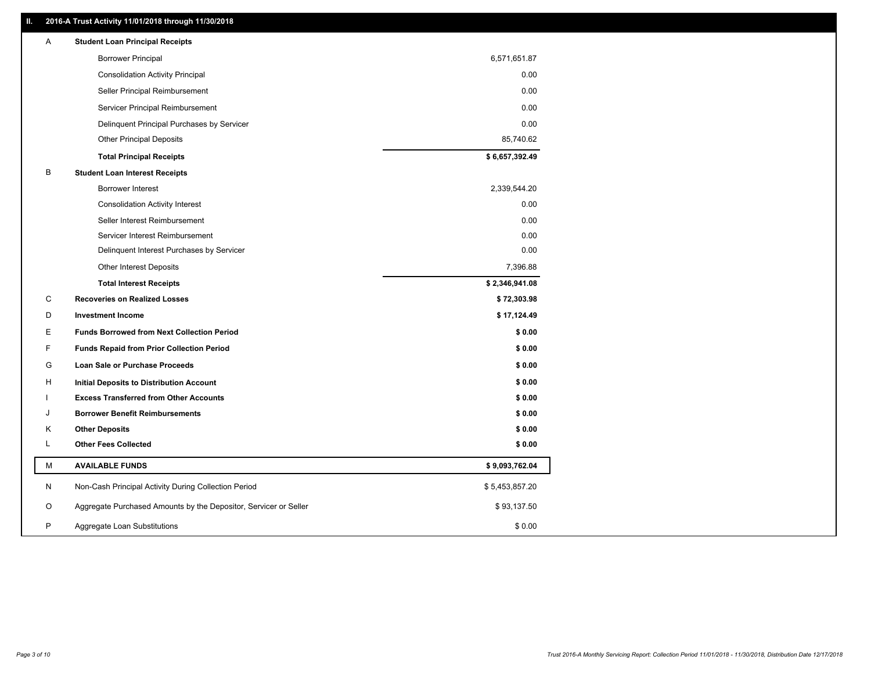### **II. 2016-A Trust Activity 11/01/2018 through 11/30/2018**

| Α            | <b>Student Loan Principal Receipts</b>                           |                |
|--------------|------------------------------------------------------------------|----------------|
|              | <b>Borrower Principal</b>                                        | 6,571,651.87   |
|              | <b>Consolidation Activity Principal</b>                          | 0.00           |
|              | Seller Principal Reimbursement                                   | 0.00           |
|              | Servicer Principal Reimbursement                                 | 0.00           |
|              | Delinquent Principal Purchases by Servicer                       | 0.00           |
|              | <b>Other Principal Deposits</b>                                  | 85,740.62      |
|              | <b>Total Principal Receipts</b>                                  | \$6,657,392.49 |
| B            | <b>Student Loan Interest Receipts</b>                            |                |
|              | <b>Borrower Interest</b>                                         | 2,339,544.20   |
|              | <b>Consolidation Activity Interest</b>                           | 0.00           |
|              | Seller Interest Reimbursement                                    | 0.00           |
|              | Servicer Interest Reimbursement                                  | 0.00           |
|              | Delinquent Interest Purchases by Servicer                        | 0.00           |
|              | <b>Other Interest Deposits</b>                                   | 7,396.88       |
|              | <b>Total Interest Receipts</b>                                   | \$2,346,941.08 |
| C            | <b>Recoveries on Realized Losses</b>                             | \$72,303.98    |
| D            | <b>Investment Income</b>                                         | \$17,124.49    |
| Е            | <b>Funds Borrowed from Next Collection Period</b>                | \$0.00         |
| F            | <b>Funds Repaid from Prior Collection Period</b>                 | \$0.00         |
| G            | Loan Sale or Purchase Proceeds                                   | \$0.00         |
| н            | Initial Deposits to Distribution Account                         | \$0.00         |
|              | <b>Excess Transferred from Other Accounts</b>                    | \$0.00         |
| J            | <b>Borrower Benefit Reimbursements</b>                           | \$0.00         |
| Κ            | <b>Other Deposits</b>                                            | \$0.00         |
| Г            | <b>Other Fees Collected</b>                                      | \$0.00         |
| M            | <b>AVAILABLE FUNDS</b>                                           | \$9,093,762.04 |
| N            | Non-Cash Principal Activity During Collection Period             | \$5,453,857.20 |
| O            | Aggregate Purchased Amounts by the Depositor, Servicer or Seller | \$93,137.50    |
| $\mathsf{P}$ |                                                                  |                |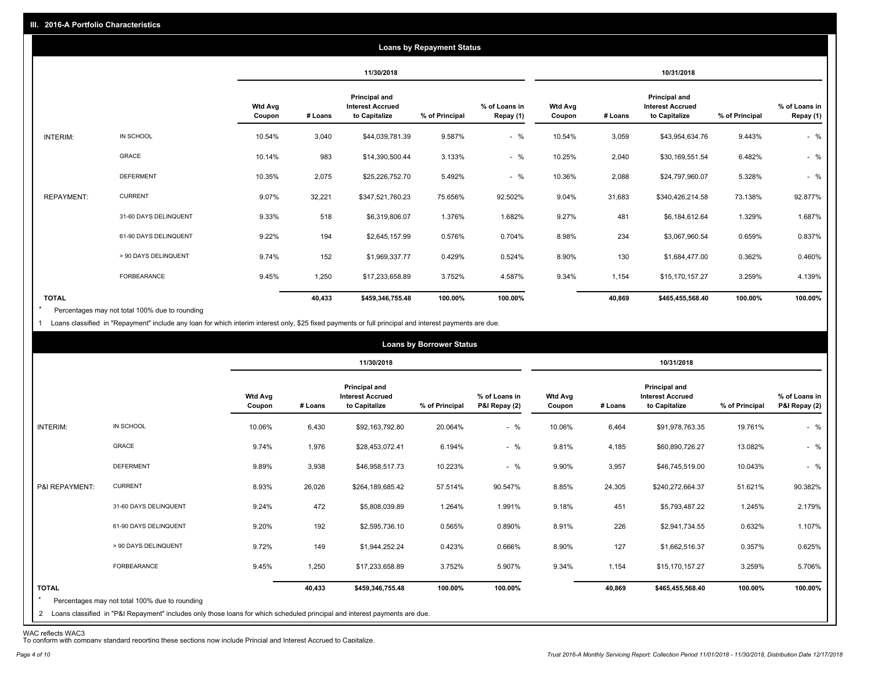|                   |                       |                          |         |                                                           | <b>Loans by Repayment Status</b> |                            |                          |         |                                                                  |                |                            |
|-------------------|-----------------------|--------------------------|---------|-----------------------------------------------------------|----------------------------------|----------------------------|--------------------------|---------|------------------------------------------------------------------|----------------|----------------------------|
|                   |                       |                          |         | 11/30/2018                                                |                                  |                            |                          |         | 10/31/2018                                                       |                |                            |
|                   |                       | <b>Wtd Avg</b><br>Coupon | # Loans | Principal and<br><b>Interest Accrued</b><br>to Capitalize | % of Principal                   | % of Loans in<br>Repay (1) | <b>Wtd Avg</b><br>Coupon | # Loans | <b>Principal and</b><br><b>Interest Accrued</b><br>to Capitalize | % of Principal | % of Loans in<br>Repay (1) |
| INTERIM:          | IN SCHOOL             | 10.54%                   | 3,040   | \$44,039,781.39                                           | 9.587%                           | $-$ %                      | 10.54%                   | 3,059   | \$43,954,634.76                                                  | 9.443%         | $-$ %                      |
|                   | GRACE                 | 10.14%                   | 983     | \$14,390,500.44                                           | 3.133%                           | $-$ %                      | 10.25%                   | 2,040   | \$30,169,551.54                                                  | 6.482%         | $-$ %                      |
|                   | <b>DEFERMENT</b>      | 10.35%                   | 2,075   | \$25,226,752.70                                           | 5.492%                           | $-$ %                      | 10.36%                   | 2,088   | \$24,797,960.07                                                  | 5.328%         | $-$ %                      |
| <b>REPAYMENT:</b> | <b>CURRENT</b>        | 9.07%                    | 32,221  | \$347,521,760.23                                          | 75.656%                          | 92.502%                    | 9.04%                    | 31,683  | \$340,426,214.58                                                 | 73.138%        | 92.877%                    |
|                   | 31-60 DAYS DELINQUENT | 9.33%                    | 518     | \$6,319,806.07                                            | 1.376%                           | 1.682%                     | 9.27%                    | 481     | \$6,184,612.64                                                   | 1.329%         | 1.687%                     |
|                   | 61-90 DAYS DELINQUENT | 9.22%                    | 194     | \$2,645,157.99                                            | 0.576%                           | 0.704%                     | 8.98%                    | 234     | \$3,067,960.54                                                   | 0.659%         | 0.837%                     |
|                   | > 90 DAYS DELINQUENT  | 9.74%                    | 152     | \$1,969,337.77                                            | 0.429%                           | 0.524%                     | 8.90%                    | 130     | \$1,684,477.00                                                   | 0.362%         | 0.460%                     |
|                   | FORBEARANCE           | 9.45%                    | 1,250   | \$17,233,658.89                                           | 3.752%                           | 4.587%                     | 9.34%                    | 1,154   | \$15,170,157.27                                                  | 3.259%         | 4.139%                     |
| <b>TOTAL</b>      |                       |                          | 40,433  | \$459,346,755.48                                          | 100.00%                          | 100.00%                    |                          | 40.869  | \$465,455,568.40                                                 | 100.00%        | 100.00%                    |

Percentages may not total 100% due to rounding \*

1 Loans classified in "Repayment" include any loan for which interim interest only, \$25 fixed payments or full principal and interest payments are due.

|                         |                                                                                                                              |                          |         |                                                           | <b>Loans by Borrower Status</b> |                                |                          |         |                                                           |                |                                |
|-------------------------|------------------------------------------------------------------------------------------------------------------------------|--------------------------|---------|-----------------------------------------------------------|---------------------------------|--------------------------------|--------------------------|---------|-----------------------------------------------------------|----------------|--------------------------------|
|                         |                                                                                                                              |                          |         | 11/30/2018                                                |                                 |                                |                          |         | 10/31/2018                                                |                |                                |
|                         |                                                                                                                              | <b>Wtd Avg</b><br>Coupon | # Loans | Principal and<br><b>Interest Accrued</b><br>to Capitalize | % of Principal                  | % of Loans in<br>P&I Repay (2) | <b>Wtd Avg</b><br>Coupon | # Loans | Principal and<br><b>Interest Accrued</b><br>to Capitalize | % of Principal | % of Loans in<br>P&I Repay (2) |
| INTERIM:                | IN SCHOOL                                                                                                                    | 10.06%                   | 6,430   | \$92,163,792.80                                           | 20.064%                         | $-$ %                          | 10.06%                   | 6,464   | \$91,978,763.35                                           | 19.761%        | $-$ %                          |
|                         | GRACE                                                                                                                        | 9.74%                    | 1,976   | \$28,453,072.41                                           | 6.194%                          | $-$ %                          | 9.81%                    | 4,185   | \$60,890,726.27                                           | 13.082%        | $-$ %                          |
|                         | <b>DEFERMENT</b>                                                                                                             | 9.89%                    | 3,938   | \$46,958,517.73                                           | 10.223%                         | $-$ %                          | 9.90%                    | 3,957   | \$46,745,519.00                                           | 10.043%        | $-$ %                          |
| P&I REPAYMENT:          | <b>CURRENT</b>                                                                                                               | 8.93%                    | 26,026  | \$264,189,685.42                                          | 57.514%                         | 90.547%                        | 8.85%                    | 24,305  | \$240,272,664.37                                          | 51.621%        | 90.382%                        |
|                         | 31-60 DAYS DELINQUENT                                                                                                        | 9.24%                    | 472     | \$5,808,039.89                                            | 1.264%                          | 1.991%                         | 9.18%                    | 451     | \$5,793,487.22                                            | 1.245%         | 2.179%                         |
|                         | 61-90 DAYS DELINQUENT                                                                                                        | 9.20%                    | 192     | \$2,595,736.10                                            | 0.565%                          | 0.890%                         | 8.91%                    | 226     | \$2,941,734.55                                            | 0.632%         | 1.107%                         |
|                         | > 90 DAYS DELINQUENT                                                                                                         | 9.72%                    | 149     | \$1,944,252.24                                            | 0.423%                          | 0.666%                         | 8.90%                    | 127     | \$1,662,516.37                                            | 0.357%         | 0.625%                         |
|                         | FORBEARANCE                                                                                                                  | 9.45%                    | 1,250   | \$17,233,658.89                                           | 3.752%                          | 5.907%                         | 9.34%                    | 1,154   | \$15,170,157.27                                           | 3.259%         | 5.706%                         |
| <b>TOTAL</b><br>$\star$ | Percentages may not total 100% due to rounding                                                                               |                          | 40,433  | \$459,346,755.48                                          | 100.00%                         | 100.00%                        |                          | 40,869  | \$465,455,568.40                                          | 100.00%        | 100.00%                        |
|                         | 2 Loans classified in "P&I Repayment" includes only those loans for which scheduled principal and interest payments are due. |                          |         |                                                           |                                 |                                |                          |         |                                                           |                |                                |

WAC reflects WAC3 To conform with company standard reporting these sections now include Princial and Interest Accrued to Capitalize.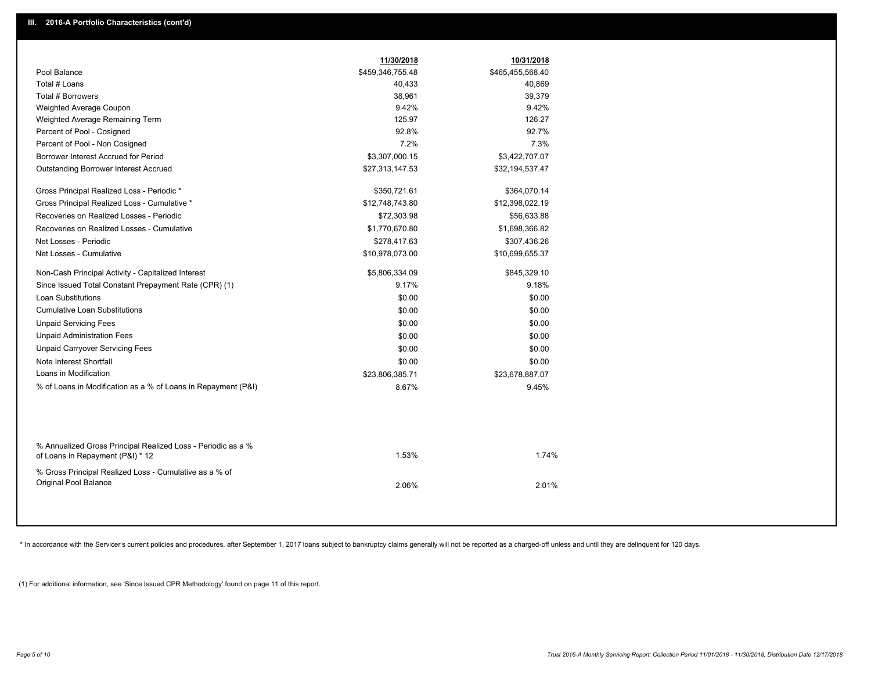|                                                                                                  | 11/30/2018       | 10/31/2018       |  |
|--------------------------------------------------------------------------------------------------|------------------|------------------|--|
| Pool Balance                                                                                     | \$459,346,755.48 | \$465,455,568.40 |  |
| Total # Loans                                                                                    | 40,433           | 40,869           |  |
| Total # Borrowers                                                                                | 38,961           | 39,379           |  |
| Weighted Average Coupon                                                                          | 9.42%            | 9.42%            |  |
| Weighted Average Remaining Term                                                                  | 125.97           | 126.27           |  |
| Percent of Pool - Cosigned                                                                       | 92.8%            | 92.7%            |  |
| Percent of Pool - Non Cosigned                                                                   | 7.2%             | 7.3%             |  |
| Borrower Interest Accrued for Period                                                             | \$3,307,000.15   | \$3,422,707.07   |  |
| <b>Outstanding Borrower Interest Accrued</b>                                                     | \$27,313,147.53  | \$32,194,537.47  |  |
| Gross Principal Realized Loss - Periodic *                                                       | \$350,721.61     | \$364,070.14     |  |
| Gross Principal Realized Loss - Cumulative *                                                     | \$12,748,743.80  | \$12,398,022.19  |  |
| Recoveries on Realized Losses - Periodic                                                         | \$72,303.98      | \$56,633.88      |  |
| Recoveries on Realized Losses - Cumulative                                                       | \$1,770,670.80   | \$1,698,366.82   |  |
| Net Losses - Periodic                                                                            | \$278,417.63     | \$307,436.26     |  |
| Net Losses - Cumulative                                                                          | \$10,978,073.00  | \$10,699,655.37  |  |
| Non-Cash Principal Activity - Capitalized Interest                                               | \$5,806,334.09   | \$845,329.10     |  |
| Since Issued Total Constant Prepayment Rate (CPR) (1)                                            | 9.17%            | 9.18%            |  |
| <b>Loan Substitutions</b>                                                                        | \$0.00           | \$0.00           |  |
| <b>Cumulative Loan Substitutions</b>                                                             | \$0.00           | \$0.00           |  |
| <b>Unpaid Servicing Fees</b>                                                                     | \$0.00           | \$0.00           |  |
| <b>Unpaid Administration Fees</b>                                                                | \$0.00           | \$0.00           |  |
| <b>Unpaid Carryover Servicing Fees</b>                                                           | \$0.00           | \$0.00           |  |
| Note Interest Shortfall                                                                          | \$0.00           | \$0.00           |  |
| Loans in Modification                                                                            | \$23,806,385.71  | \$23,678,887.07  |  |
| % of Loans in Modification as a % of Loans in Repayment (P&I)                                    | 8.67%            | 9.45%            |  |
|                                                                                                  |                  |                  |  |
| % Annualized Gross Principal Realized Loss - Periodic as a %<br>of Loans in Repayment (P&I) * 12 | 1.53%            | 1.74%            |  |
| % Gross Principal Realized Loss - Cumulative as a % of<br><b>Original Pool Balance</b>           | 2.06%            | 2.01%            |  |
|                                                                                                  |                  |                  |  |

\* In accordance with the Servicer's current policies and procedures, after September 1, 2017 loans subject to bankruptcy claims generally will not be reported as a charged-off unless and until they are delinquent for 120 d

(1) For additional information, see 'Since Issued CPR Methodology' found on page 11 of this report.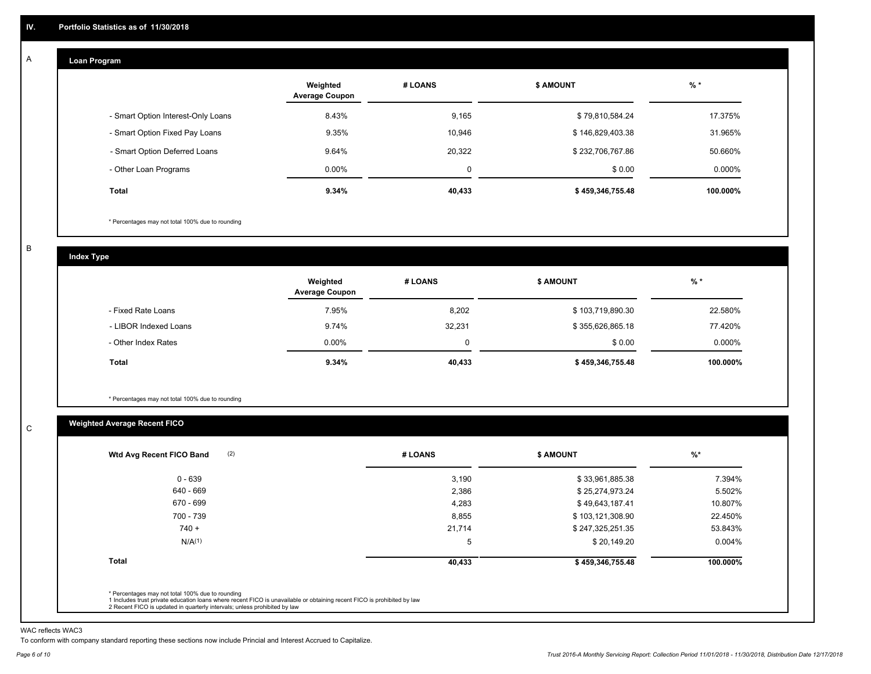#### **Loan Program**  A

|                                    | Weighted<br><b>Average Coupon</b> | # LOANS | <b>\$ AMOUNT</b> | $%$ *    |
|------------------------------------|-----------------------------------|---------|------------------|----------|
| - Smart Option Interest-Only Loans | 8.43%                             | 9,165   | \$79,810,584.24  | 17.375%  |
| - Smart Option Fixed Pay Loans     | 9.35%                             | 10,946  | \$146,829,403.38 | 31.965%  |
| - Smart Option Deferred Loans      | 9.64%                             | 20.322  | \$232,706,767.86 | 50.660%  |
| - Other Loan Programs              | $0.00\%$                          | 0       | \$0.00           | 0.000%   |
| <b>Total</b>                       | 9.34%                             | 40,433  | \$459,346,755.48 | 100.000% |

\* Percentages may not total 100% due to rounding

B

C

**Index Type**

|                       | Weighted<br><b>Average Coupon</b> | # LOANS | <b>\$ AMOUNT</b> | $%$ *    |
|-----------------------|-----------------------------------|---------|------------------|----------|
| - Fixed Rate Loans    | 7.95%                             | 8,202   | \$103,719,890.30 | 22.580%  |
| - LIBOR Indexed Loans | 9.74%                             | 32,231  | \$355,626,865.18 | 77.420%  |
| - Other Index Rates   | $0.00\%$                          | 0       | \$0.00           | 0.000%   |
| Total                 | 9.34%                             | 40,433  | \$459,346,755.48 | 100.000% |

\* Percentages may not total 100% due to rounding

## **Weighted Average Recent FICO**

| $0 - 639$<br>640 - 669<br>670 - 699 | 3,190<br>2,386 | \$33,961,885.38  | 7.394%   |
|-------------------------------------|----------------|------------------|----------|
|                                     |                |                  |          |
|                                     |                | \$25,274,973.24  | 5.502%   |
|                                     | 4,283          | \$49,643,187.41  | 10.807%  |
| 700 - 739                           | 8,855          | \$103,121,308.90 | 22.450%  |
| $740 +$                             | 21,714         | \$247,325,251.35 | 53.843%  |
| N/A <sup>(1)</sup>                  | 5              | \$20,149.20      | 0.004%   |
| <b>Total</b>                        | 40,433         | \$459,346,755.48 | 100.000% |

WAC reflects WAC3

To conform with company standard reporting these sections now include Princial and Interest Accrued to Capitalize.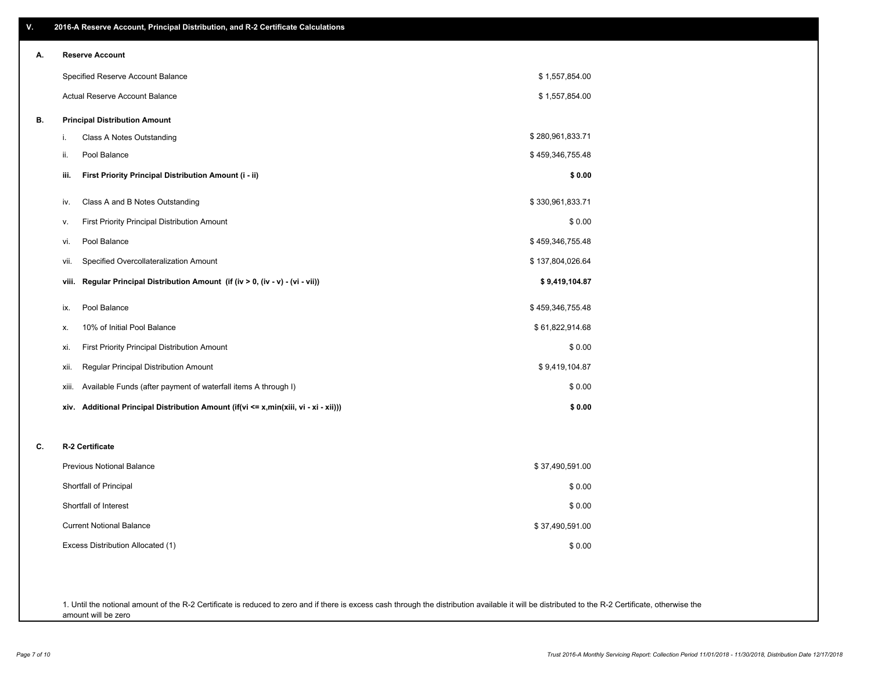| ۷. | 2016-A Reserve Account, Principal Distribution, and R-2 Certificate Calculations     |                  |
|----|--------------------------------------------------------------------------------------|------------------|
| А. | <b>Reserve Account</b>                                                               |                  |
|    | Specified Reserve Account Balance                                                    | \$1,557,854.00   |
|    | Actual Reserve Account Balance                                                       | \$1,557,854.00   |
| В. | <b>Principal Distribution Amount</b>                                                 |                  |
|    | i.<br>Class A Notes Outstanding                                                      | \$280,961,833.71 |
|    | Pool Balance<br>ii.                                                                  | \$459,346,755.48 |
|    | First Priority Principal Distribution Amount (i - ii)<br>iii.                        | \$0.00           |
|    | Class A and B Notes Outstanding<br>iv.                                               | \$330,961,833.71 |
|    | <b>First Priority Principal Distribution Amount</b><br>v.                            | \$0.00           |
|    | Pool Balance<br>vi.                                                                  | \$459,346,755.48 |
|    | Specified Overcollateralization Amount<br>vii.                                       | \$137,804,026.64 |
|    | Regular Principal Distribution Amount (if (iv > 0, (iv - v) - (vi - vii))<br>viii.   | \$9,419,104.87   |
|    | Pool Balance<br>ix.                                                                  | \$459,346,755.48 |
|    | 10% of Initial Pool Balance<br>Х.                                                    | \$61,822,914.68  |
|    | First Priority Principal Distribution Amount<br>xi.                                  | \$0.00           |
|    | Regular Principal Distribution Amount<br>xii.                                        | \$9,419,104.87   |
|    | Available Funds (after payment of waterfall items A through I)<br>xiii.              | \$0.00           |
|    | xiv. Additional Principal Distribution Amount (if(vi <= x,min(xiii, vi - xi - xii))) | \$0.00           |
| C. | R-2 Certificate                                                                      |                  |
|    | <b>Previous Notional Balance</b>                                                     | \$37,490,591.00  |
|    | Shortfall of Principal                                                               | \$0.00           |
|    | Shortfall of Interest                                                                | \$0.00           |
|    | <b>Current Notional Balance</b>                                                      | \$37,490,591.00  |
|    | Excess Distribution Allocated (1)                                                    | \$0.00           |
|    |                                                                                      |                  |
|    |                                                                                      |                  |

1. Until the notional amount of the R-2 Certificate is reduced to zero and if there is excess cash through the distribution available it will be distributed to the R-2 Certificate, otherwise the amount will be zero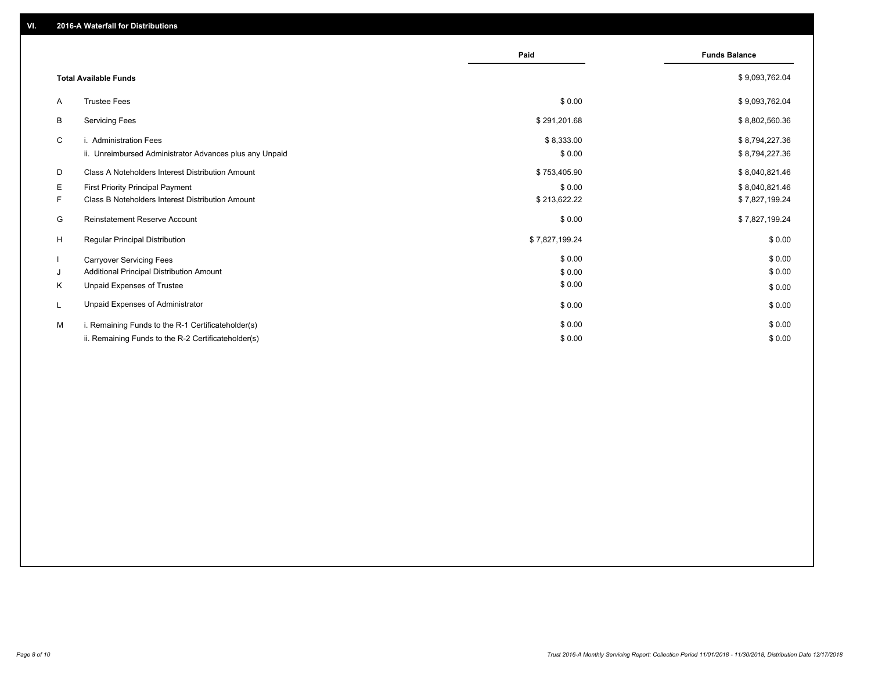|                                                         | Paid           | <b>Funds Balance</b> |
|---------------------------------------------------------|----------------|----------------------|
| <b>Total Available Funds</b>                            |                | \$9,093,762.04       |
| <b>Trustee Fees</b><br>A                                | \$0.00         | \$9,093,762.04       |
| <b>Servicing Fees</b><br>B                              | \$291,201.68   | \$8,802,560.36       |
| C<br>i. Administration Fees                             | \$8,333.00     | \$8,794,227.36       |
| ii. Unreimbursed Administrator Advances plus any Unpaid | \$0.00         | \$8,794,227.36       |
| Class A Noteholders Interest Distribution Amount<br>D   | \$753,405.90   | \$8,040,821.46       |
| <b>First Priority Principal Payment</b><br>Е            | \$0.00         | \$8,040,821.46       |
| Class B Noteholders Interest Distribution Amount<br>F.  | \$213,622.22   | \$7,827,199.24       |
| <b>Reinstatement Reserve Account</b><br>G               | \$0.00         | \$7,827,199.24       |
| H<br>Regular Principal Distribution                     | \$7,827,199.24 | \$0.00               |
| <b>Carryover Servicing Fees</b>                         | \$0.00         | \$0.00               |
| Additional Principal Distribution Amount<br>J           | \$0.00         | \$0.00               |
| Unpaid Expenses of Trustee<br>Κ                         | \$0.00         | \$0.00               |
| Unpaid Expenses of Administrator<br>L                   | \$0.00         | \$0.00               |
| i. Remaining Funds to the R-1 Certificateholder(s)<br>м | \$0.00         | \$0.00               |
| ii. Remaining Funds to the R-2 Certificateholder(s)     | \$0.00         | \$0.00               |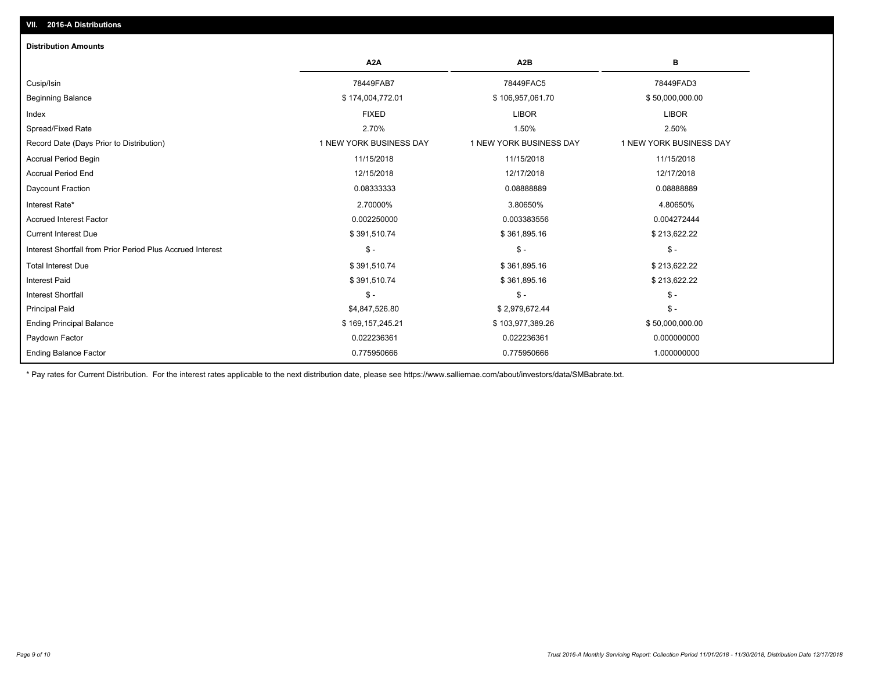| <b>Distribution Amounts</b>                                |                         |                         |                         |
|------------------------------------------------------------|-------------------------|-------------------------|-------------------------|
|                                                            | A <sub>2</sub> A        | A <sub>2</sub> B        | в                       |
| Cusip/Isin                                                 | 78449FAB7               | 78449FAC5               | 78449FAD3               |
| <b>Beginning Balance</b>                                   | \$174,004,772.01        | \$106,957,061.70        | \$50,000,000.00         |
| Index                                                      | <b>FIXED</b>            | <b>LIBOR</b>            | <b>LIBOR</b>            |
| Spread/Fixed Rate                                          | 2.70%                   | 1.50%                   | 2.50%                   |
| Record Date (Days Prior to Distribution)                   | 1 NEW YORK BUSINESS DAY | 1 NEW YORK BUSINESS DAY | 1 NEW YORK BUSINESS DAY |
| Accrual Period Begin                                       | 11/15/2018              | 11/15/2018              | 11/15/2018              |
| <b>Accrual Period End</b>                                  | 12/15/2018              | 12/17/2018              | 12/17/2018              |
| Daycount Fraction                                          | 0.08333333              | 0.08888889              | 0.08888889              |
| Interest Rate*                                             | 2.70000%                | 3.80650%                | 4.80650%                |
| <b>Accrued Interest Factor</b>                             | 0.002250000             | 0.003383556             | 0.004272444             |
| <b>Current Interest Due</b>                                | \$391,510.74            | \$361,895.16            | \$213,622.22            |
| Interest Shortfall from Prior Period Plus Accrued Interest | $\mathsf{\$}$ -         | $\mathsf{\$}$ -         | $\mathsf{\$}$ -         |
| <b>Total Interest Due</b>                                  | \$391,510.74            | \$361,895.16            | \$213,622.22            |
| <b>Interest Paid</b>                                       | \$391,510.74            | \$361,895.16            | \$213,622.22            |
| <b>Interest Shortfall</b>                                  | $\frac{1}{2}$           | $\mathsf{\$}$ -         | $$ -$                   |
| <b>Principal Paid</b>                                      | \$4,847,526.80          | \$2,979,672.44          | $$ -$                   |
| <b>Ending Principal Balance</b>                            | \$169,157,245.21        | \$103,977,389.26        | \$50,000,000.00         |
| Paydown Factor                                             | 0.022236361             | 0.022236361             | 0.000000000             |
| <b>Ending Balance Factor</b>                               | 0.775950666             | 0.775950666             | 1.000000000             |

\* Pay rates for Current Distribution. For the interest rates applicable to the next distribution date, please see https://www.salliemae.com/about/investors/data/SMBabrate.txt.

**VII. 2016-A Distributions**